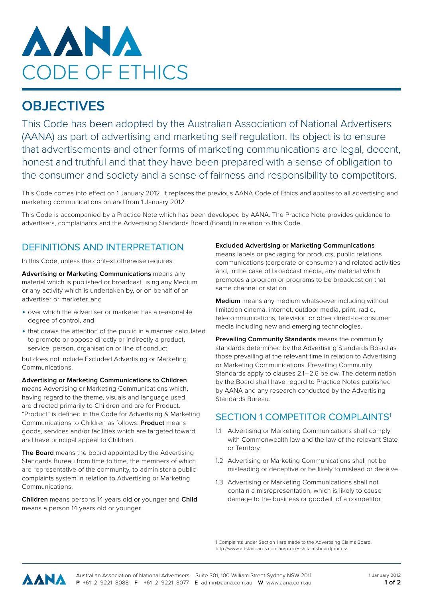

# **OBJECTIVES**

This Code has been adopted by the Australian Association of National Advertisers (AANA) as part of advertising and marketing self regulation. Its object is to ensure that advertisements and other forms of marketing communications are legal, decent, honest and truthful and that they have been prepared with a sense of obligation to the consumer and society and a sense of fairness and responsibility to competitors.

This Code comes into effect on 1 January 2012. It replaces the previous AANA Code of Ethics and applies to all advertising and marketing communications on and from 1 January 2012.

This Code is accompanied by a Practice Note which has been developed by AANA. The Practice Note provides guidance to advertisers, complainants and the Advertising Standards Board (Board) in relation to this Code.

### DEFINITIONS AND INTERPRETATION

In this Code, unless the context otherwise requires:

**Advertising or Marketing Communications** means any material which is published or broadcast using any Medium or any activity which is undertaken by, or on behalf of an advertiser or marketer, and

- over which the advertiser or marketer has a reasonable degree of control, and
- that draws the attention of the public in a manner calculated to promote or oppose directly or indirectly a product, service, person, organisation or line of conduct,

but does not include Excluded Advertising or Marketing Communications.

**Advertising or Marketing Communications to Children** means Advertising or Marketing Communications which, having regard to the theme, visuals and language used, are directed primarily to Children and are for Product. "Product" is defined in the Code for Advertising & Marketing Communications to Children as follows: **Product** means goods, services and/or facilities which are targeted toward and have principal appeal to Children.

**The Board** means the board appointed by the Advertising Standards Bureau from time to time, the members of which are representative of the community, to administer a public complaints system in relation to Advertising or Marketing Communications.

**Children** means persons 14 years old or younger and **Child** means a person 14 years old or younger.

#### **Excluded Advertising or Marketing Communications**

means labels or packaging for products, public relations communications (corporate or consumer) and related activities and, in the case of broadcast media, any material which promotes a program or programs to be broadcast on that same channel or station.

**Medium** means any medium whatsoever including without limitation cinema, internet, outdoor media, print, radio, telecommunications, television or other direct-to-consumer media including new and emerging technologies.

**Prevailing Community Standards** means the community standards determined by the Advertising Standards Board as those prevailing at the relevant time in relation to Advertising or Marketing Communications. Prevailing Community Standards apply to clauses 2.1 – 2.6 below. The determination by the Board shall have regard to Practice Notes published by AANA and any research conducted by the Advertising Standards Bureau.

#### SECTION 1 COMPETITOR COMPLAINTS<sup>1</sup>

- 1.1 Advertising or Marketing Communications shall comply with Commonwealth law and the law of the relevant State or Territory.
- 1.2 Advertising or Marketing Communications shall not be misleading or deceptive or be likely to mislead or deceive.
- 1.3 Advertising or Marketing Communications shall not contain a misrepresentation, which is likely to cause damage to the business or goodwill of a competitor.

1 Complaints under Section 1 are made to the Advertising Claims Board, <http://www.adstandards.com.au/process/claimsboardprocess>